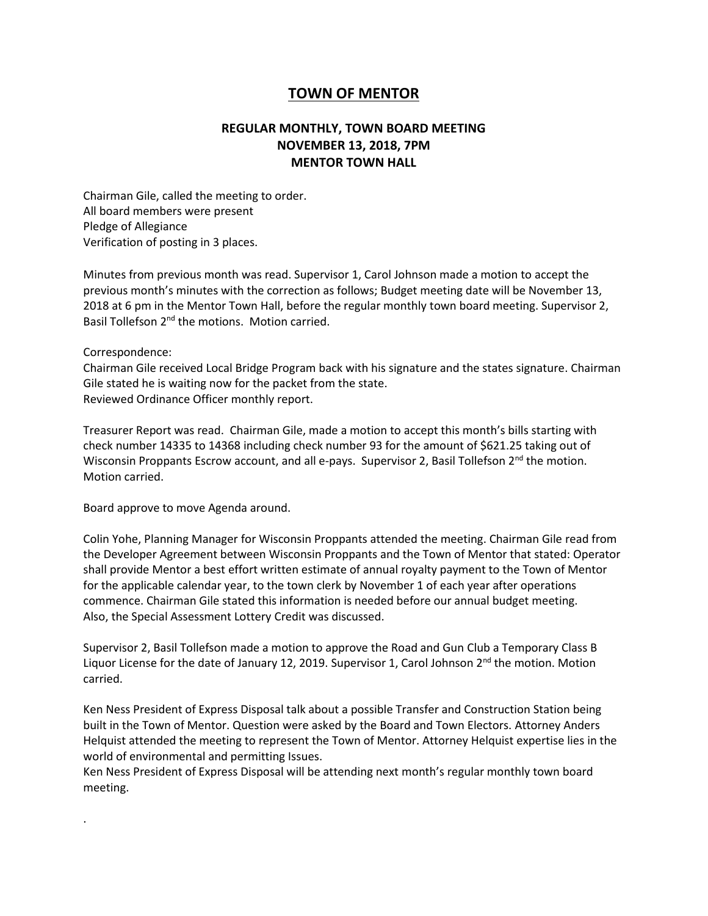## **TOWN OF MENTOR**

## **REGULAR MONTHLY, TOWN BOARD MEETING NOVEMBER 13, 2018, 7PM MENTOR TOWN HALL**

Chairman Gile, called the meeting to order. All board members were present Pledge of Allegiance Verification of posting in 3 places.

Minutes from previous month was read. Supervisor 1, Carol Johnson made a motion to accept the previous month's minutes with the correction as follows; Budget meeting date will be November 13, 2018 at 6 pm in the Mentor Town Hall, before the regular monthly town board meeting. Supervisor 2, Basil Tollefson 2<sup>nd</sup> the motions. Motion carried.

## Correspondence:

.

Chairman Gile received Local Bridge Program back with his signature and the states signature. Chairman Gile stated he is waiting now for the packet from the state. Reviewed Ordinance Officer monthly report.

Treasurer Report was read. Chairman Gile, made a motion to accept this month's bills starting with check number 14335 to 14368 including check number 93 for the amount of \$621.25 taking out of Wisconsin Proppants Escrow account, and all e-pays. Supervisor 2, Basil Tollefson 2<sup>nd</sup> the motion. Motion carried.

Board approve to move Agenda around.

Colin Yohe, Planning Manager for Wisconsin Proppants attended the meeting. Chairman Gile read from the Developer Agreement between Wisconsin Proppants and the Town of Mentor that stated: Operator shall provide Mentor a best effort written estimate of annual royalty payment to the Town of Mentor for the applicable calendar year, to the town clerk by November 1 of each year after operations commence. Chairman Gile stated this information is needed before our annual budget meeting. Also, the Special Assessment Lottery Credit was discussed.

Supervisor 2, Basil Tollefson made a motion to approve the Road and Gun Club a Temporary Class B Liquor License for the date of January 12, 2019. Supervisor 1, Carol Johnson  $2^{nd}$  the motion. Motion carried.

Ken Ness President of Express Disposal talk about a possible Transfer and Construction Station being built in the Town of Mentor. Question were asked by the Board and Town Electors. Attorney Anders Helquist attended the meeting to represent the Town of Mentor. Attorney Helquist expertise lies in the world of environmental and permitting Issues.

Ken Ness President of Express Disposal will be attending next month's regular monthly town board meeting.